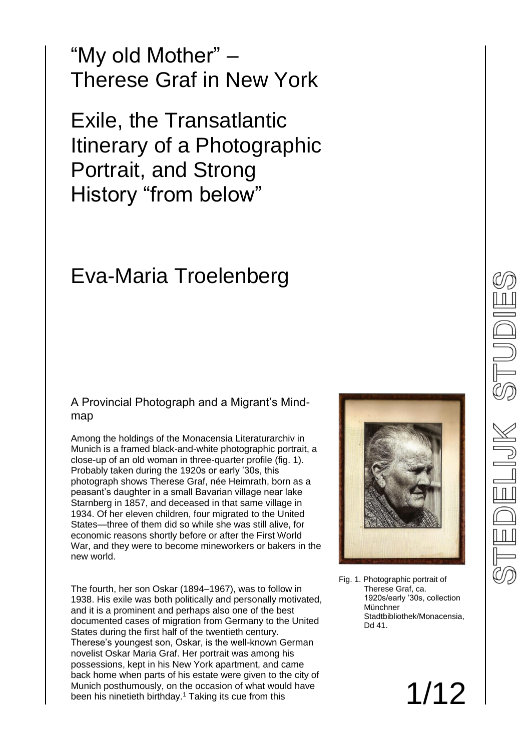"My old Mother" – Therese Graf in New York

Exile, the Transatlantic Itinerary of a Photographic Portrait, and Strong History "from below"

### Eva-Maria Troelenberg

#### A Provincial Photograph and a Migrant's Mindmap

Among the holdings of the Monacensia Literaturarchiv in Munich is a framed black-and-white photographic portrait, a close-up of an old woman in three-quarter profile (fig. 1). Probably taken during the 1920s or early '30s, this photograph shows Therese Graf, née Heimrath, born as a peasant's daughter in a small Bavarian village near lake Starnberg in 1857, and deceased in that same village in 1934. Of her eleven children, four migrated to the United States—three of them did so while she was still alive, for economic reasons shortly before or after the First World War, and they were to become mineworkers or bakers in the new world.

The fourth, her son Oskar (1894–1967), was to follow in 1938. His exile was both politically and personally motivated, and it is a prominent and perhaps also one of the best documented cases of migration from Germany to the United States during the first half of the twentieth century. Therese's youngest son, Oskar, is the well-known German novelist Oskar Maria Graf. Her portrait was among his possessions, kept in his New York apartment, and came back home when parts of his estate were given to the city of Munich posthumously, on the occasion of what would have been his ninetieth birthday.<sup>1</sup> Taking its cue from this



Fig. 1. Photographic portrait of Therese Graf, ca. 1920s/early '30s, collection Münchner Stadtbibliothek/Monacensia, Dd 41.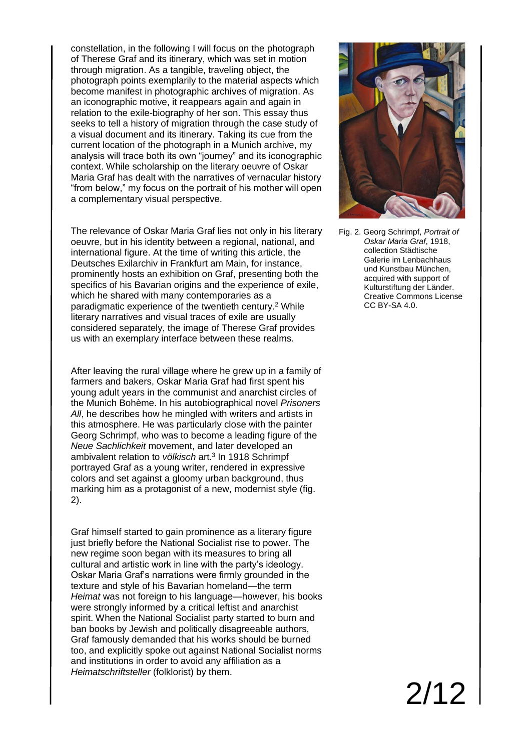constellation, in the following I will focus on the photograph of Therese Graf and its itinerary, which was set in motion through migration. As a tangible, traveling object, the photograph points exemplarily to the material aspects which become manifest in photographic archives of migration. As an iconographic motive, it reappears again and again in relation to the exile-biography of her son. This essay thus seeks to tell a history of migration through the case study of a visual document and its itinerary. Taking its cue from the current location of the photograph in a Munich archive, my analysis will trace both its own "journey" and its iconographic context. While scholarship on the literary oeuvre of Oskar Maria Graf has dealt with the narratives of vernacular history "from below," my focus on the portrait of his mother will open a complementary visual perspective.

The relevance of Oskar Maria Graf lies not only in his literary oeuvre, but in his identity between a regional, national, and international figure. At the time of writing this article, the Deutsches Exilarchiv in Frankfurt am Main, for instance, prominently hosts an exhibition on Graf, presenting both the specifics of his Bavarian origins and the experience of exile. which he shared with many contemporaries as a paradigmatic experience of the twentieth century.<sup>2</sup> While literary narratives and visual traces of exile are usually considered separately, the image of Therese Graf provides us with an exemplary interface between these realms.

After leaving the rural village where he grew up in a family of farmers and bakers, Oskar Maria Graf had first spent his young adult years in the communist and anarchist circles of the Munich Bohème. In his autobiographical novel *Prisoners All*, he describes how he mingled with writers and artists in this atmosphere. He was particularly close with the painter Georg Schrimpf, who was to become a leading figure of the *Neue Sachlichkeit* movement, and later developed an ambivalent relation to *völkisch* art.<sup>3</sup> In 1918 Schrimpf portrayed Graf as a young writer, rendered in expressive colors and set against a gloomy urban background, thus marking him as a protagonist of a new, modernist style (fig. 2).

Graf himself started to gain prominence as a literary figure just briefly before the National Socialist rise to power. The new regime soon began with its measures to bring all cultural and artistic work in line with the party's ideology. Oskar Maria Graf's narrations were firmly grounded in the texture and style of his Bavarian homeland—the term *Heimat* was not foreign to his language—however, his books were strongly informed by a critical leftist and anarchist spirit. When the National Socialist party started to burn and ban books by Jewish and politically disagreeable authors, Graf famously demanded that his works should be burned too, and explicitly spoke out against National Socialist norms and institutions in order to avoid any affiliation as a *Heimatschriftsteller* (folklorist) by them.



Fig. 2. Georg Schrimpf, *Portrait of Oskar Maria Graf*, 1918, collection Städtische Galerie im Lenbachhaus und Kunstbau München, acquired with support of Kulturstiftung der Länder. Creative Commons License CC BY-SA 4.0.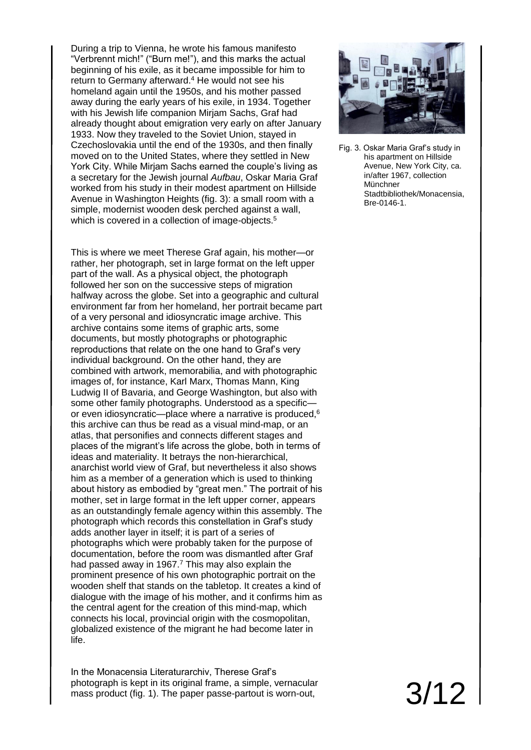During a trip to Vienna, he wrote his famous manifesto "Verbrennt mich!" ("Burn me!"), and this marks the actual beginning of his exile, as it became impossible for him to return to Germany afterward.<sup>4</sup> He would not see his homeland again until the 1950s, and his mother passed away during the early years of his exile, in 1934. Together with his Jewish life companion Mirjam Sachs, Graf had already thought about emigration very early on after January 1933. Now they traveled to the Soviet Union, stayed in Czechoslovakia until the end of the 1930s, and then finally moved on to the United States, where they settled in New York City. While Mirjam Sachs earned the couple's living as a secretary for the Jewish journal *Aufbau*, Oskar Maria Graf worked from his study in their modest apartment on Hillside Avenue in Washington Heights (fig. 3): a small room with a simple, modernist wooden desk perched against a wall, which is covered in a collection of image-objects.<sup>5</sup>

This is where we meet Therese Graf again, his mother—or rather, her photograph, set in large format on the left upper part of the wall. As a physical object, the photograph followed her son on the successive steps of migration halfway across the globe. Set into a geographic and cultural environment far from her homeland, her portrait became part of a very personal and idiosyncratic image archive. This archive contains some items of graphic arts, some documents, but mostly photographs or photographic reproductions that relate on the one hand to Graf's very individual background. On the other hand, they are combined with artwork, memorabilia, and with photographic images of, for instance, Karl Marx, Thomas Mann, King Ludwig II of Bavaria, and George Washington, but also with some other family photographs. Understood as a specific or even idiosyncratic—place where a narrative is produced,<sup>6</sup> this archive can thus be read as a visual mind-map, or an atlas, that personifies and connects different stages and places of the migrant's life across the globe, both in terms of ideas and materiality. It betrays the non-hierarchical, anarchist world view of Graf, but nevertheless it also shows him as a member of a generation which is used to thinking about history as embodied by "great men." The portrait of his mother, set in large format in the left upper corner, appears as an outstandingly female agency within this assembly. The photograph which records this constellation in Graf's study adds another layer in itself; it is part of a series of photographs which were probably taken for the purpose of documentation, before the room was dismantled after Graf had passed away in 1967.<sup>7</sup> This may also explain the prominent presence of his own photographic portrait on the wooden shelf that stands on the tabletop. It creates a kind of dialogue with the image of his mother, and it confirms him as the central agent for the creation of this mind-map, which connects his local, provincial origin with the cosmopolitan, globalized existence of the migrant he had become later in life.

In the Monacensia Literaturarchiv, Therese Graf's photograph is kept in its original frame, a simple, vernacular mass product (fig. 1). The paper passe-partout is worn-out,



Fig. 3. Oskar Maria Graf's study in his apartment on Hillside Avenue, New York City, ca. in/after 1967, collection Münchner Stadtbibliothek/Monacensia, Bre-0146-1.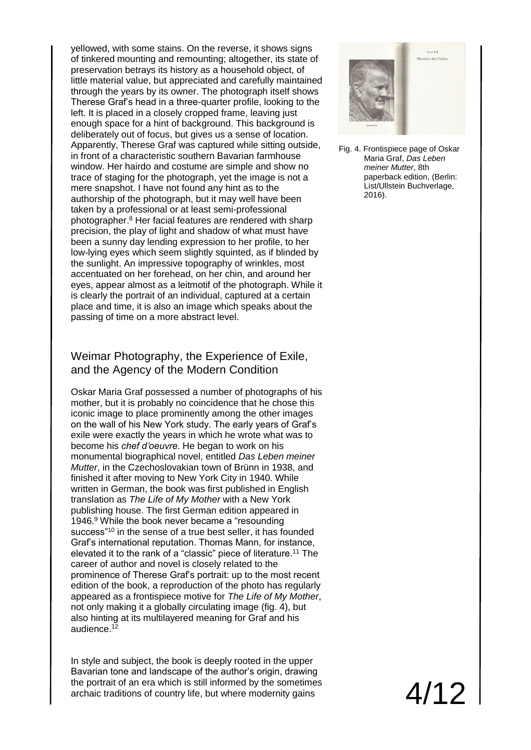yellowed, with some stains. On the reverse, it shows signs of tinkered mounting and remounting; altogether, its state of preservation betrays its history as a household object, of little material value, but appreciated and carefully maintained through the years by its owner. The photograph itself shows Therese Graf's head in a three-quarter profile, looking to the left. It is placed in a closely cropped frame, leaving just enough space for a hint of background. This background is deliberately out of focus, but gives us a sense of location. Apparently, Therese Graf was captured while sitting outside, in front of a characteristic southern Bavarian farmhouse window. Her hairdo and costume are simple and show no trace of staging for the photograph, yet the image is not a mere snapshot. I have not found any hint as to the authorship of the photograph, but it may well have been taken by a professional or at least semi-professional photographer.<sup>8</sup> Her facial features are rendered with sharp precision, the play of light and shadow of what must have been a sunny day lending expression to her profile, to her low-lying eyes which seem slightly squinted, as if blinded by the sunlight. An impressive topography of wrinkles, most accentuated on her forehead, on her chin, and around her eyes, appear almost as a leitmotif of the photograph. While it is clearly the portrait of an individual, captured at a certain place and time, it is also an image which speaks about the passing of time on a more abstract level.

#### Weimar Photography, the Experience of Exile, and the Agency of the Modern Condition

Oskar Maria Graf possessed a number of photographs of his mother, but it is probably no coincidence that he chose this iconic image to place prominently among the other images on the wall of his New York study. The early years of Graf's exile were exactly the years in which he wrote what was to become his *chef d'oeuvre*. He began to work on his monumental biographical novel, entitled *Das Leben meiner Mutter*, in the Czechoslovakian town of Brünn in 1938, and finished it after moving to New York City in 1940. While written in German, the book was first published in English translation as *The Life of My Mother* with a New York publishing house. The first German edition appeared in 1946.<sup>9</sup> While the book never became a "resounding" success<sup>"10</sup> in the sense of a true best seller, it has founded Graf's international reputation. Thomas Mann, for instance, elevated it to the rank of a "classic" piece of literature.<sup>11</sup> The career of author and novel is closely related to the prominence of Therese Graf's portrait: up to the most recent edition of the book, a reproduction of the photo has regularly appeared as a frontispiece motive for *The Life of My Mother*, not only making it a globally circulating image (fig. 4), but also hinting at its multilayered meaning for Graf and his audience.<sup>12</sup>

In style and subject, the book is deeply rooted in the upper Bavarian tone and landscape of the author's origin, drawing the portrait of an era which is still informed by the sometimes archaic traditions of country life, but where modernity gains



Fig. 4. Frontispiece page of Oskar Maria Graf, *Das Leben meiner Mutter*, 8th paperback edition, (Berlin: List/Ullstein Buchverlage, 2016).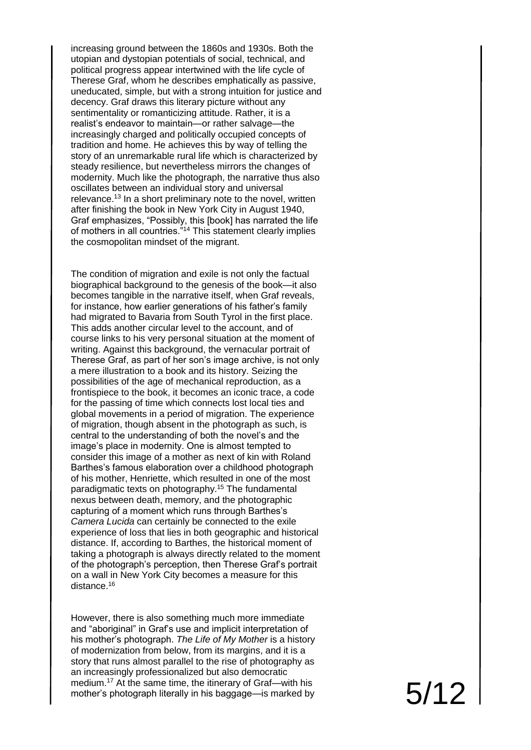increasing ground between the 1860s and 1930s. Both the utopian and dystopian potentials of social, technical, and political progress appear intertwined with the life cycle of Therese Graf, whom he describes emphatically as passive, uneducated, simple, but with a strong intuition for justice and decency. Graf draws this literary picture without any sentimentality or romanticizing attitude. Rather, it is a realist's endeavor to maintain —or rather salvage —the increasingly charged and politically occupied concepts of tradition and home. He achieves this by way of telling the story of an unremarkable rural life which is characterized by steady resilience, but nevertheless mirrors the changes of modernity. Much like the photograph, the narrative thus also oscillates between an individual story and universal relevance.<sup>13</sup> In a short preliminary note to the novel, written after finishing the book in New York City in August 1940, Graf emphasizes, "Possibly, this [book] has narrated the life of mothers in all countries."<sup>14</sup> This statement clearly implies the cosmopolitan mindset of the migrant.

The condition of migration and exile is not only the factual biographical background to the genesis of the book —it also becomes tangible in the narrative itself, when Graf reveals, for instance, how earlier generations of his father's family had migrated to Bavaria from South Tyrol in the first place. This adds another circular level to the account, and of course links to his very personal situation at the moment of writing. Against this background, the vernacular portrait of Therese Graf, as part of her son's image archive, is not only a mere illustration to a book and its history. Seizing the possibilities of the age of mechanical reproduction, as a frontispiece to the book, it becomes an iconic trace, a code for the passing of time which connects lost local ties and global movements in a period of migration. The experience of migration, though absent in the photograph as such, is central to the understanding of both the novel's and the image's place in modernity. One is almost tempted to consider this image of a mother as next of kin with Roland Barthes's famous elaboration over a childhood photograph of his mother, Henriette, which resulted in one of the most paradigmatic texts on photography.<sup>15</sup> The fundamental nexus between death, memory, and the photographic capturing of a moment which runs through Barthes's *Camera Lucida* can certainly be connected to the exile experience of loss that lies in both geographic and historical distance. If, according to Barthes, the historical moment of taking a photograph is always directly related to the moment of the photograph's perception, then Therese Graf's portrait on a wall in New York City becomes a measure for this distance.<sup>16</sup>

However, there is also something much more immediate and "aboriginal" in Graf's use and implicit interpretation of his mother's photograph. *The Life of My Mother* is a history of modernization from below, from its margins, and it is a story that runs almost parallel to the rise of photography as an increasingly professionalized but also democratic medium.<sup>17</sup> At the same time, the itinerary of Graf—with his mother's photograph literally in his baggage —is marked by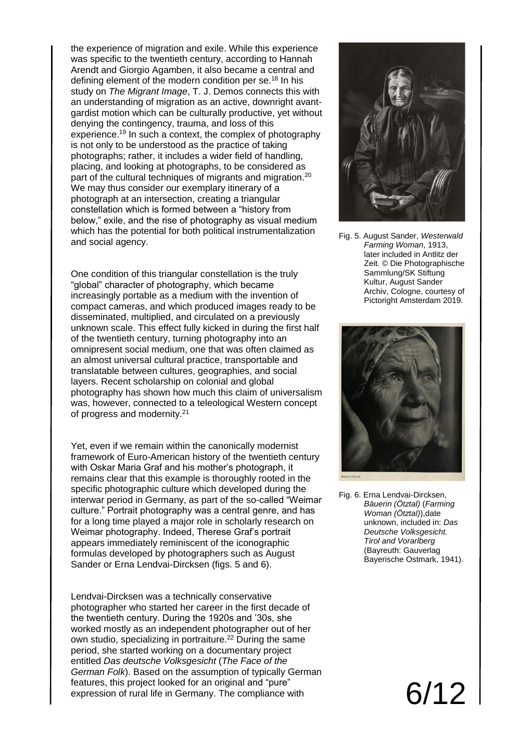the experience of migration and exile. While this experience was specific to the twentieth century, according to Hannah Arendt and Giorgio Agamben, it also became a central and defining element of the modern condition per se.<sup>18</sup> In his study on *The Migrant Image*, T. J. Demos connects this with an understanding of migration as an active, downright avantgardist motion which can be culturally productive, yet without denying the contingency, trauma, and loss of this experience.<sup>19</sup> In such a context, the complex of photography is not only to be understood as the practice of taking photographs; rather, it includes a wider field of handling, placing, and looking at photographs, to be considered as part of the cultural techniques of migrants and migration.<sup>20</sup> We may thus consider our exemplary itinerary of a photograph at an intersection, creating a triangular constellation which is formed between a "history from below," exile, and the rise of photography as visual medium which has the potential for both political instrumentalization and social agency.

One condition of this triangular constellation is the truly "global" character of photography, which became increasingly portable as a medium with the invention of compact cameras, and which produced images ready to be disseminated, multiplied, and circulated on a previously unknown scale. This effect fully kicked in during the first half of the twentieth century, turning photography into an omnipresent social medium, one that was often claimed as an almost universal cultural practice, transportable and translatable between cultures, geographies, and social layers. Recent scholarship on colonial and global photography has shown how much this claim of universalism was, however, connected to a teleological Western concept of progress and modernity.<sup>21</sup>

Yet, even if we remain within the canonically modernist framework of Euro-American history of the twentieth century with Oskar Maria Graf and his mother's photograph, it remains clear that this example is thoroughly rooted in the specific photographic culture which developed during the interwar period in Germany, as part of the so-called "Weimar culture." Portrait photography was a central genre, and has for a long time played a major role in scholarly research on Weimar photography. Indeed, Therese Graf's portrait appears immediately reminiscent of the iconographic formulas developed by photographers such as August Sander or Erna Lendvai-Dircksen (figs. 5 and 6).

Lendvai-Dircksen was a technically conservative photographer who started her career in the first decade of the twentieth century. During the 1920s and '30s, she worked mostly as an independent photographer out of her own studio, specializing in portraiture.<sup>22</sup> During the same period, she started working on a documentary project entitled *Das deutsche Volksgesicht* (*The Face of the German Folk*). Based on the assumption of typically German features, this project looked for an original and "pure" expression of rural life in Germany. The compliance with



Fig. 5. August Sander, *Westerwald Farming Woman*, 1913, later included in Antlitz der Zeit. © Die Photographische Sammlung/SK Stiftung Kultur, August Sander Archiv, Cologne, courtesy of Pictoright Amsterdam 2019.



Fig. 6. Erna Lendvai-Dircksen, *Bäuerin (Ötztal)* (*Farming Woman (Ötztal)*),date unknown, included in: *Das Deutsche Volksgesicht. Tirol and Vorarlberg* (Bayreuth: Gauverlag Bayerische Ostmark, 1941).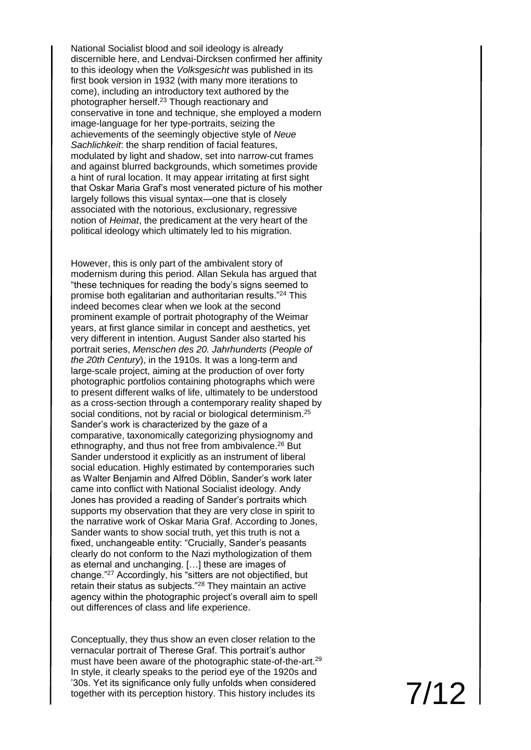National Socialist blood and soil ideology is already discernible here, and Lendvai-Dircksen confirmed her affinity to this ideology when the *Volksgesicht* was published in its first book version in 1932 (with many more iterations to come), including an introductory text authored by the photographer herself.<sup>23</sup> Though reactionary and conservative in tone and technique, she employed a modern image-language for her type-portraits, seizing the achievements of the seemingly objective style of *Neue Sachlichkeit*: the sharp rendition of facial features, modulated by light and shadow, set into narrow-cut frames and against blurred backgrounds, which sometimes provide a hint of rural location. It may appear irritating at first sight that Oskar Maria Graf's most venerated picture of his mother largely follows this visual syntax—one that is closely associated with the notorious, exclusionary, regressive notion of *Heimat*, the predicament at the very heart of the political ideology which ultimately led to his migration.

However, this is only part of the ambivalent story of modernism during this period. Allan Sekula has argued that "these techniques for reading the body's signs seemed to promise both egalitarian and authoritarian results."<sup>24</sup> This indeed becomes clear when we look at the second prominent example of portrait photography of the Weimar years, at first glance similar in concept and aesthetics, yet very different in intention. August Sander also started his portrait series, *Menschen des 20. Jahrhunderts* (*People of the 20th Century*), in the 1910s. It was a long-term and large-scale project, aiming at the production of over forty photographic portfolios containing photographs which were to present different walks of life, ultimately to be understood as a cross-section through a contemporary reality shaped by social conditions, not by racial or biological determinism.<sup>25</sup> Sander's work is characterized by the gaze of a comparative, taxonomically categorizing physiognomy and ethnography, and thus not free from ambivalence.<sup>26</sup> But Sander understood it explicitly as an instrument of liberal social education. Highly estimated by contemporaries such as Walter Benjamin and Alfred Döblin, Sander's work later came into conflict with National Socialist ideology. Andy Jones has provided a reading of Sander's portraits which supports my observation that they are very close in spirit to the narrative work of Oskar Maria Graf. According to Jones, Sander wants to show social truth, yet this truth is not a fixed, unchangeable entity: "Crucially, Sander's peasants clearly do not conform to the Nazi mythologization of them as eternal and unchanging. […] these are images of change."<sup>27</sup> Accordingly, his "sitters are not objectified, but retain their status as subjects."<sup>28</sup> They maintain an active agency within the photographic project's overall aim to spell out differences of class and life experience.

Conceptually, they thus show an even closer relation to the vernacular portrait of Therese Graf. This portrait's author must have been aware of the photographic state-of-the-art.<sup>29</sup> In style, it clearly speaks to the period eye of the 1920s and '30s. Yet its significance only fully unfolds when considered together with its perception history. This history includes its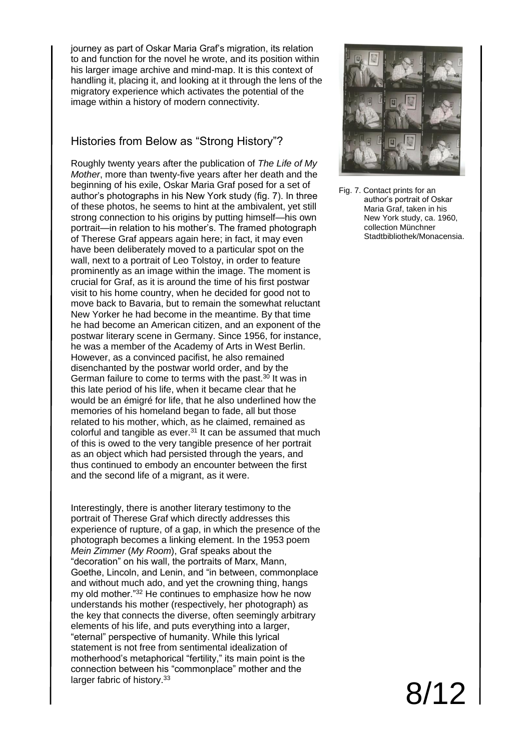journey as part of Oskar Maria Graf's migration, its relation to and function for the novel he wrote, and its position within his larger image archive and mind-map. It is this context of handling it, placing it, and looking at it through the lens of the migratory experience which activates the potential of the image within a history of modern connectivity.

#### Histories from Below as "Strong History"?

Roughly twenty years after the publication of *The Life of My Mother*, more than twenty-five years after her death and the beginning of his exile, Oskar Maria Graf posed for a set of author's photographs in his New York study (fig. 7). In three of these photos, he seems to hint at the ambivalent, yet still strong connection to his origins by putting himself—his own portrait—in relation to his mother's. The framed photograph of Therese Graf appears again here; in fact, it may even have been deliberately moved to a particular spot on the wall, next to a portrait of Leo Tolstoy, in order to feature prominently as an image within the image. The moment is crucial for Graf, as it is around the time of his first postwar visit to his home country, when he decided for good not to move back to Bavaria, but to remain the somewhat reluctant New Yorker he had become in the meantime. By that time he had become an American citizen, and an exponent of the postwar literary scene in Germany. Since 1956, for instance, he was a member of the Academy of Arts in West Berlin. However, as a convinced pacifist, he also remained disenchanted by the postwar world order, and by the German failure to come to terms with the past.<sup>30</sup> It was in this late period of his life, when it became clear that he would be an émigré for life, that he also underlined how the memories of his homeland began to fade, all but those related to his mother, which, as he claimed, remained as colorful and tangible as ever. $31$  It can be assumed that much of this is owed to the very tangible presence of her portrait as an object which had persisted through the years, and thus continued to embody an encounter between the first and the second life of a migrant, as it were.

Interestingly, there is another literary testimony to the portrait of Therese Graf which directly addresses this experience of rupture, of a gap, in which the presence of the photograph becomes a linking element. In the 1953 poem *Mein Zimmer* (*My Room*), Graf speaks about the "decoration" on his wall, the portraits of Marx, Mann, Goethe, Lincoln, and Lenin, and "in between, commonplace and without much ado, and yet the crowning thing, hangs my old mother."<sup>32</sup> He continues to emphasize how he now understands his mother (respectively, her photograph) as the key that connects the diverse, often seemingly arbitrary elements of his life, and puts everything into a larger, "eternal" perspective of humanity. While this lyrical statement is not free from sentimental idealization of motherhood's metaphorical "fertility," its main point is the connection between his "commonplace" mother and the larger fabric of history.<sup>33</sup>



Fig. 7. Contact prints for an author's portrait of Oskar Maria Graf, taken in his New York study, ca. 1960, collection Münchner Stadtbibliothek/Monacensia.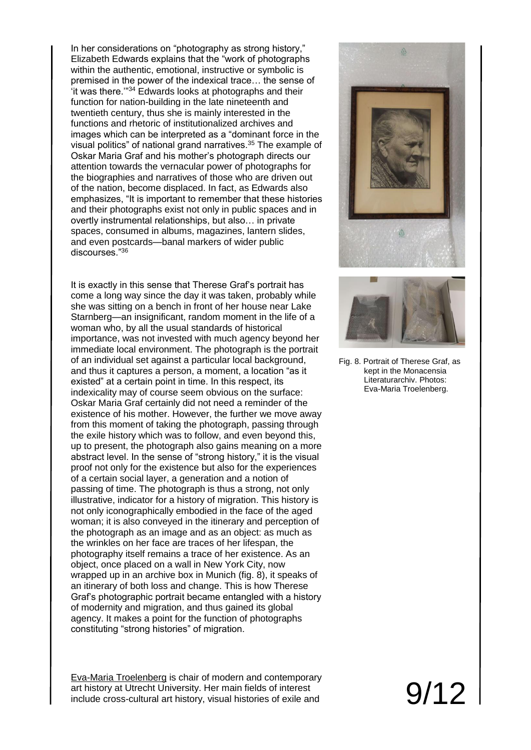In her considerations on "photography as strong history," Elizabeth Edwards explains that the "work of photographs within the authentic, emotional, instructive or symbolic is premised in the power of the indexical trace… the sense of 'it was there.'"<sup>34</sup> Edwards looks at photographs and their function for nation-building in the late nineteenth and twentieth century, thus she is mainly interested in the functions and rhetoric of institutionalized archives and images which can be interpreted as a "dominant force in the visual politics" of national grand narratives.<sup>35</sup> The example of Oskar Maria Graf and his mother's photograph directs our attention towards the vernacular power of photographs for the biographies and narratives of those who are driven out of the nation, become displaced. In fact, as Edwards also emphasizes, "It is important to remember that these histories and their photographs exist not only in public spaces and in overtly instrumental relationships, but also… in private spaces, consumed in albums, magazines, lantern slides, and even postcards—banal markers of wider public discourses."<sup>36</sup>

It is exactly in this sense that Therese Graf's portrait has come a long way since the day it was taken, probably while she was sitting on a bench in front of her house near Lake Starnberg—an insignificant, random moment in the life of a woman who, by all the usual standards of historical importance, was not invested with much agency beyond her immediate local environment. The photograph is the portrait of an individual set against a particular local background, and thus it captures a person, a moment, a location "as it existed" at a certain point in time. In this respect, its indexicality may of course seem obvious on the surface: Oskar Maria Graf certainly did not need a reminder of the existence of his mother. However, the further we move away from this moment of taking the photograph, passing through the exile history which was to follow, and even beyond this, up to present, the photograph also gains meaning on a more abstract level. In the sense of "strong history," it is the visual proof not only for the existence but also for the experiences of a certain social layer, a generation and a notion of passing of time. The photograph is thus a strong, not only illustrative, indicator for a history of migration. This history is not only iconographically embodied in the face of the aged woman; it is also conveyed in the itinerary and perception of the photograph as an image and as an object: as much as the wrinkles on her face are traces of her lifespan, the photography itself remains a trace of her existence. As an object, once placed on a wall in New York City, now wrapped up in an archive box in Munich (fig. 8), it speaks of an itinerary of both loss and change. This is how Therese Graf's photographic portrait became entangled with a history of modernity and migration, and thus gained its global agency. It makes a point for the function of photographs constituting "strong histories" of migration.

Eva-Maria Troelenberg is chair of modern and contemporary art history at Utrecht University. Her main fields of interest include cross-cultural art history, visual histories of exile and





Fig. 8. Portrait of Therese Graf, as kept in the Monacensia Literaturarchiv. Photos: Eva-Maria Troelenberg.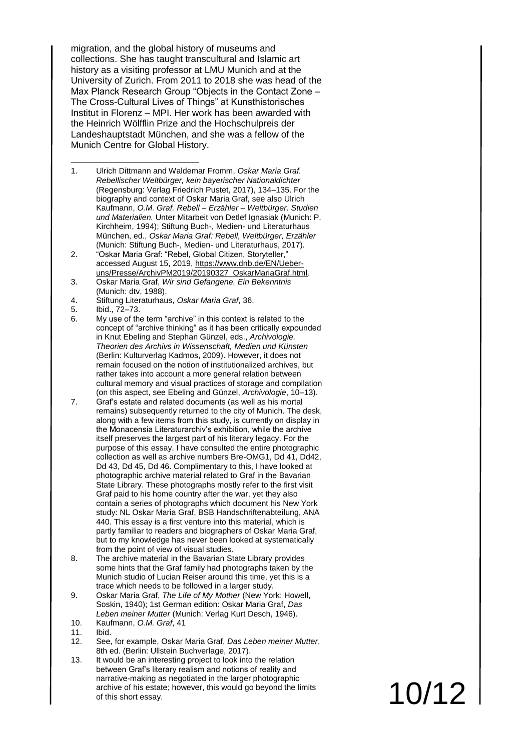migration, and the global history of museums and collections. She has taught transcultural and Islamic art history as a visiting professor at LMU Munich and at the University of Zurich. From 2011 to 2018 she was head of the Max Planck Research Group "Objects in the Contact Zone – The Cross-Cultural Lives of Things" at Kunsthistorisches Institut in Florenz – MPI. Her work has been awarded with the Heinrich Wölfflin Prize and the Hochschulpreis der Landeshauptstadt München, and she was a fellow of the Munich Centre for Global History.

- 1. Ulrich Dittmann and Waldemar Fromm, *Oskar Maria Graf. Rebellischer Weltbürger, kein bayerischer Nationaldichter* (Regensburg: Verlag Friedrich Pustet, 2017), 134–135. For the biography and context of Oskar Maria Graf, see also Ulrich Kaufmann, *O.M. Graf. Rebell – Erzähler – Weltbürger. Studien und Materialien.* Unter Mitarbeit von Detlef Ignasiak (Munich: P. Kirchheim, 1994); Stiftung Buch-, Medien- und Literaturhaus München, ed., *Oskar Maria Graf: Rebell, Weltbürger, Erzähler* (Munich: Stiftung Buch-, Medien- und Literaturhaus, 2017). -
- 2. "Oskar Maria Graf: "Rebel, Global Citizen, Storyteller," accessed August 15, 2019, [https://www.dnb.de/EN/Ueber](https://www.dnb.de/EN/Ueber-uns/Presse/ArchivPM2019/20190327_OskarMariaGraf.html)[uns/Presse/ArchivPM2019/20190327\\_OskarMariaGraf.html.](https://www.dnb.de/EN/Ueber-uns/Presse/ArchivPM2019/20190327_OskarMariaGraf.html)
- 3. Oskar Maria Graf, *Wir sind Gefangene. Ein Bekenntnis* (Munich: dtv, 1988).
- 4. Stiftung Literaturhaus, *Oskar Maria Graf*, 36.
- 5. Ibid., 72–73.
- 6. My use of the term "archive" in this context is related to the concept of "archive thinking" as it has been critically expounded in Knut Ebeling and Stephan Günzel, eds., *Archivologie. Theorien des Archivs in Wissenschaft, Medien und Künsten* (Berlin: Kulturverlag Kadmos, 2009). However, it does not remain focused on the notion of institutionalized archives, but rather takes into account a more general relation between cultural memory and visual practices of storage and compilation (on this aspect, see Ebeling and Günzel, *Archivologie*, 10–13).
- 7. Graf's estate and related documents (as well as his mortal remains) subsequently returned to the city of Munich. The desk, along with a few items from this study, is currently on display in the Monacensia Literaturarchiv's exhibition, while the archive itself preserves the largest part of his literary legacy. For the purpose of this essay, I have consulted the entire photographic collection as well as archive numbers Bre-OMG1, Dd 41, Dd42, Dd 43, Dd 45, Dd 46. Complimentary to this, I have looked at photographic archive material related to Graf in the Bavarian State Library. These photographs mostly refer to the first visit Graf paid to his home country after the war, yet they also contain a series of photographs which document his New York study: NL Oskar Maria Graf, BSB Handschriftenabteilung, ANA 440. This essay is a first venture into this material, which is partly familiar to readers and biographers of Oskar Maria Graf, but to my knowledge has never been looked at systematically from the point of view of visual studies.
- 8. The archive material in the Bavarian State Library provides some hints that the Graf family had photographs taken by the Munich studio of Lucian Reiser around this time, yet this is a trace which needs to be followed in a larger study.
- 9. Oskar Maria Graf, *The Life of My Mother* (New York: Howell, Soskin, 1940); 1st German edition: Oskar Maria Graf, *Das Leben meiner Mutter* (Munich: Verlag Kurt Desch, 1946).
- 10. Kaufmann, *O.M. Graf*, 41
- 11. Ibid.
- 12. See, for example, Oskar Maria Graf, *Das Leben meiner Mutter*, 8th ed. (Berlin: Ullstein Buchverlage, 2017).
- 13. It would be an interesting project to look into the relation between Graf's literary realism and notions of reality and narrative-making as negotiated in the larger photographic archive of his estate; however, this would go beyond the limits of this short essay.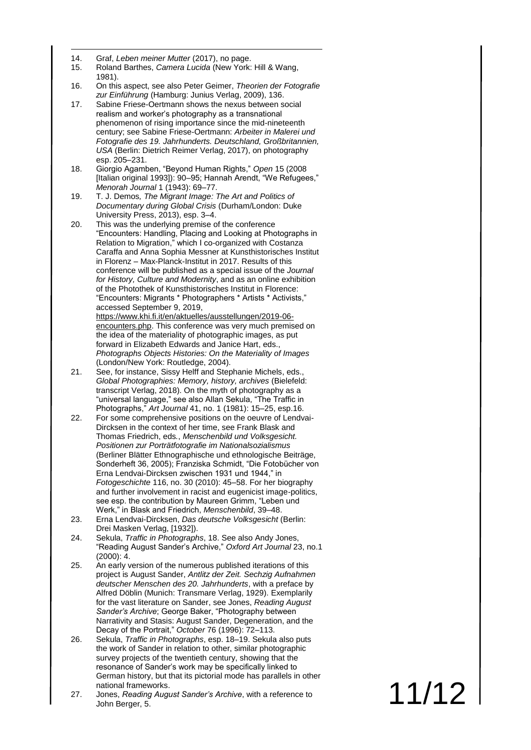- -14. Graf, *Leben meiner Mutter* (2017), no page.
- 15. Roland Barthes, *Camera Lucida* (New York: Hill & Wang, 1981).
- 16. On this aspect, see also Peter Geimer, *Theorien der Fotografie zur Einführung* (Hamburg: Junius Verlag, 2009), 136.
- 17. Sabine Friese -Oertmann shows the nexus between social realism and worker's photography as a transnational phenomenon of rising importance since the mid -nineteenth century; see Sabine Friese -Oertmann: *Arbeiter in Malerei und Fotografie des 19. Jahrhunderts. Deutschland, Großbritannien, USA* (Berlin: Dietrich Reimer Verlag, 2017), on photography esp. 205 –231.
- 18. Giorgio Agamben, "Beyond Human Rights," *Open* 15 (2008 [Italian original 1993]): 90 –95; Hannah Arendt, "We Refugees," *Menorah Journal* 1 (1943): 69 –77.
- 19. T. J. Demos*, The Migrant Image : The Art and Politics of Documentary during Global Crisis* (Durham/London: Duke University Press , 2013), esp. 3 –4.
- 20. This was the underlying premise of the conference "Encounters: Handling, Placing and Looking at Photographs in Relation to Migration ," which I co -organized with Costanza Caraffa and Anna Sophia Messner at Kunsthistorisches Institut in Florenz - Max-Planck-Institut in 2017. Results of this conference will be published as a special issue of the *Journal for History, Culture and Modernity*, and as an online exhibition of the Photothek of Kunsthistorisches Institut in Florence: "Encounters: Migrants \* Photographers \* Artists \* Activists," accessed September 9, 2019 , [https://www.khi.fi.it/en/aktuelles/ausstellungen/2019](https://www.khi.fi.it/en/aktuelles/ausstellungen/2019-06-encounters.php) -06 [encounters.php](https://www.khi.fi.it/en/aktuelles/ausstellungen/2019-06-encounters.php). This conference was very much premised on the idea of the materiality of photographic images, as put
	- forward in Elizabeth Edwards and Janice Hart , eds., *Photographs Objects Histories : On the Materiality of Images* (London /New York: Routledge , 2004).
- 21. See, for instance, Sissy Helff and Stephanie Michels, eds., *Global Photographies : Memory, history, archives* (Bielefeld: transcript Verlag, 2018). On the myth of photography as a "universal language ," see also Allan Sekula, "The Traffic in Photographs," *Art Journal* 41, no. 1 (1981): 15 –25, esp.16.
- 22. For some comprehensive positions on the oeuvre of Lendvai Dircksen in the context of her time, see Frank Blask and Thomas Friedrich , eds *.* , *Menschenbild und Volksgesicht. Positionen zur Porträtfotografie im Nationalsozialismus* (Berliner Blätter Ethnographische und ethnologische Beiträge, Sonderheft 36, 2005); Franziska Schmidt, "Die Fotobücher von Erna Lendvai -Dircksen zwischen 1931 und 1944," in *Fotogeschichte* 116, no. 30 (2010): 45 –58. For her biography and further involvement in racist and eugenicist image -politics , see esp. the contribution by Maureen Grimm, "Leben und Werk," in Blask and Friedrich, *Menschenbild*, 39 –48.
- 23. Erna Lendvai -Dircksen, *Das deutsche Volksgesicht* (Berlin: Drei Masken Verlag, [1932]).
- 24. Sekula, *Traffic in Photographs* , 18. See also Andy Jones, "Reading August Sander's Archive," *Oxford Art Journal* 23, no.1 (2000) : 4.
- 25. An early version of the numerous published iterations of this project is August Sander, *Antlitz der Zeit. Sechzig Aufnahmen deutscher Menschen des 20. Jahrhunderts* , with a preface by Alfred Döblin (Munich: Transmare Verlag, 1929). Exemplarily for the vast literature on Sander , see Jones, *Reading August Sander's Archive*; George Baker, "Photography between Narrativity and Stasis: August Sander, Degeneration, and the Decay of the Portrait," *October* 76 (1996): 72 –113.
- 26. Sekula, *Traffic in Photographs*, esp. 18 –19. Sekula also puts the work of Sander in relation to other, similar photographic survey projects of the twentieth century, showing that the resonance of Sander's work may be specifically linked to German history, but that its pictorial mode has parallels in other national frameworks.
- 27. Jones, *Reading August Sander's Archive*, with a reference to John Berger, 5.